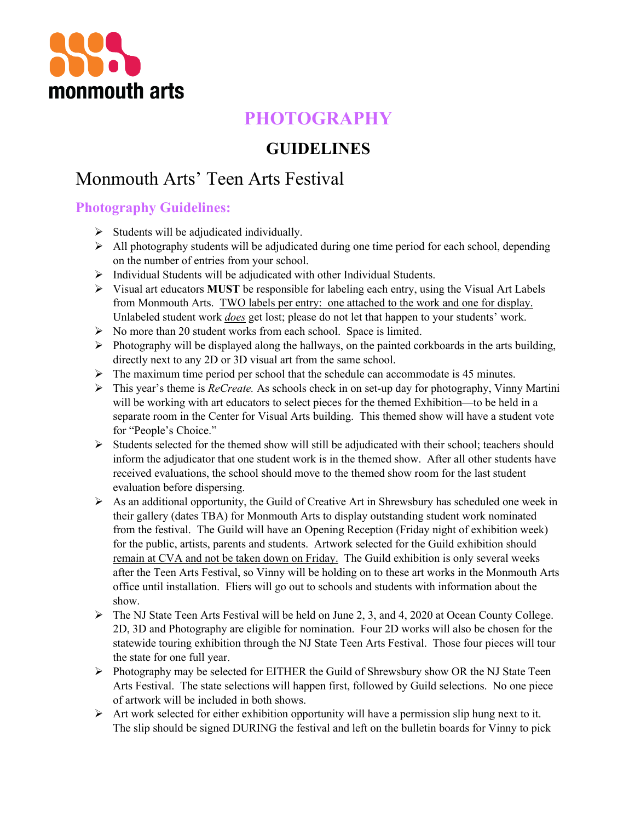

# **PHOTOGRAPHY**

## **GUIDELINES**

# Monmouth Arts' Teen Arts Festival

### **Photography Guidelines:**

- $\triangleright$  Students will be adjudicated individually.
- $\triangleright$  All photography students will be adjudicated during one time period for each school, depending on the number of entries from your school.
- $\triangleright$  Individual Students will be adjudicated with other Individual Students.
- $\triangleright$  Visual art educators **MUST** be responsible for labeling each entry, using the Visual Art Labels from Monmouth Arts. TWO labels per entry: one attached to the work and one for display. Unlabeled student work *does* get lost; please do not let that happen to your students' work.
- $\triangleright$  No more than 20 student works from each school. Space is limited.
- $\triangleright$  Photography will be displayed along the hallways, on the painted corkboards in the arts building, directly next to any 2D or 3D visual art from the same school.
- $\triangleright$  The maximum time period per school that the schedule can accommodate is 45 minutes.
- Ø This year's theme is *ReCreate.* As schools check in on set-up day for photography, Vinny Martini will be working with art educators to select pieces for the themed Exhibition—to be held in a separate room in the Center for Visual Arts building. This themed show will have a student vote for "People's Choice."
- Ø Students selected for the themed show will still be adjudicated with their school; teachers should inform the adjudicator that one student work is in the themed show. After all other students have received evaluations, the school should move to the themed show room for the last student evaluation before dispersing.
- $\triangleright$  As an additional opportunity, the Guild of Creative Art in Shrewsbury has scheduled one week in their gallery (dates TBA) for Monmouth Arts to display outstanding student work nominated from the festival. The Guild will have an Opening Reception (Friday night of exhibition week) for the public, artists, parents and students. Artwork selected for the Guild exhibition should remain at CVA and not be taken down on Friday. The Guild exhibition is only several weeks after the Teen Arts Festival, so Vinny will be holding on to these art works in the Monmouth Arts office until installation. Fliers will go out to schools and students with information about the show.
- Ø The NJ State Teen Arts Festival will be held on June 2, 3, and 4, 2020 at Ocean County College. 2D, 3D and Photography are eligible for nomination. Four 2D works will also be chosen for the statewide touring exhibition through the NJ State Teen Arts Festival. Those four pieces will tour the state for one full year.
- $\triangleright$  Photography may be selected for EITHER the Guild of Shrewsbury show OR the NJ State Teen Arts Festival. The state selections will happen first, followed by Guild selections. No one piece of artwork will be included in both shows.
- $\triangleright$  Art work selected for either exhibition opportunity will have a permission slip hung next to it. The slip should be signed DURING the festival and left on the bulletin boards for Vinny to pick